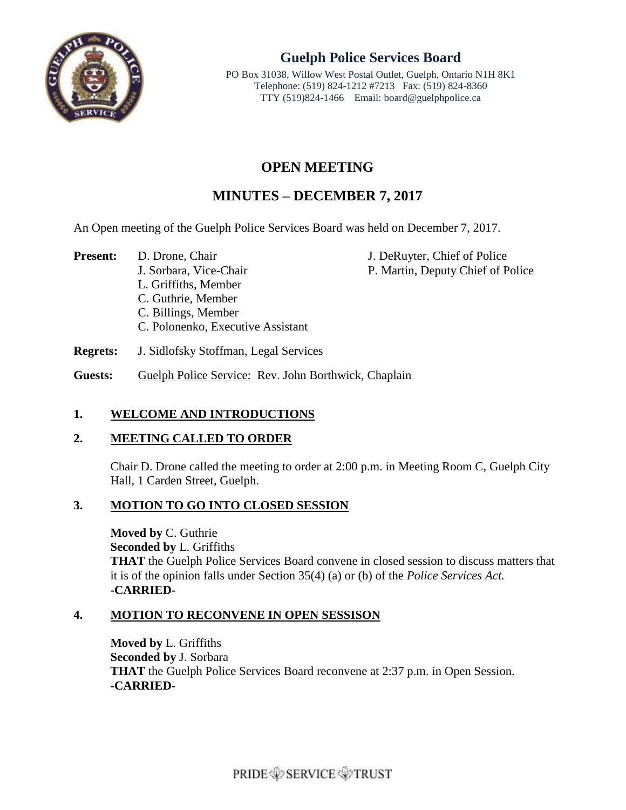

# **Guelph Police Services Board**

PO Box 31038, Willow West Postal Outlet, Guelph, Ontario N1H 8K1 Telephone: (519) 824-1212 #7213 Fax: (519) 824-8360 TTY (519)824-1466 Email: board@guelphpolice.ca

# **OPEN MEETING**

# **MINUTES – DECEMBER 7, 2017**

An Open meeting of the Guelph Police Services Board was held on December 7, 2017.

**Present:** D. Drone, Chair J. DeRuyter, Chief of Police J. Sorbara, Vice-Chair P. Martin, Deputy Chief of Police

C. Guthrie, Member

L. Griffiths, Member

- C. Billings, Member
- C. Polonenko, Executive Assistant

**Regrets:** J. Sidlofsky Stoffman, Legal Services

Guests: Guelph Police Service: Rev. John Borthwick, Chaplain

# **1. WELCOME AND INTRODUCTIONS**

# **2. MEETING CALLED TO ORDER**

Chair D. Drone called the meeting to order at 2:00 p.m. in Meeting Room C, Guelph City Hall, 1 Carden Street, Guelph.

# **3. MOTION TO GO INTO CLOSED SESSION**

**Moved by** C. Guthrie **Seconded by** L. Griffiths **THAT** the Guelph Police Services Board convene in closed session to discuss matters that it is of the opinion falls under Section 35(4) (a) or (b) of the *Police Services Act.* **-CARRIED-**

# **4. MOTION TO RECONVENE IN OPEN SESSISON**

**Moved by** L. Griffiths **Seconded by** J. Sorbara **THAT** the Guelph Police Services Board reconvene at 2:37 p.m. in Open Session. **-CARRIED-**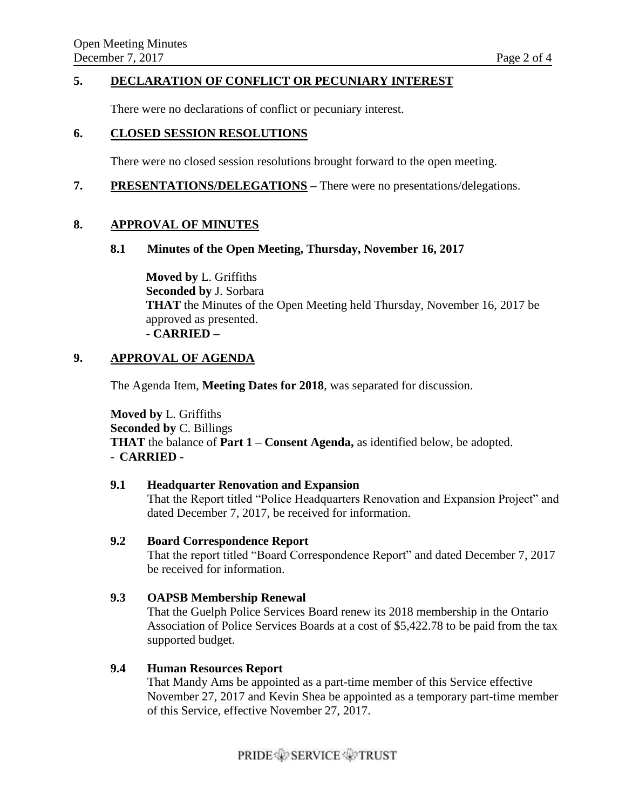#### **5. DECLARATION OF CONFLICT OR PECUNIARY INTEREST**

There were no declarations of conflict or pecuniary interest.

#### **6. CLOSED SESSION RESOLUTIONS**

There were no closed session resolutions brought forward to the open meeting.

**7. PRESENTATIONS/DELEGATIONS –** There were no presentations/delegations.

#### **8. APPROVAL OF MINUTES**

#### **8.1 Minutes of the Open Meeting, Thursday, November 16, 2017**

**Moved by** L. Griffiths **Seconded by** J. Sorbara **THAT** the Minutes of the Open Meeting held Thursday, November 16, 2017 be approved as presented. **- CARRIED –**

### **9. APPROVAL OF AGENDA**

The Agenda Item, **Meeting Dates for 2018**, was separated for discussion.

**Moved by** L. Griffiths **Seconded by** C. Billings **THAT** the balance of **Part 1 – Consent Agenda,** as identified below, be adopted. - **CARRIED -**

#### **9.1 Headquarter Renovation and Expansion**

That the Report titled "Police Headquarters Renovation and Expansion Project" and dated December 7, 2017, be received for information.

#### **9.2 Board Correspondence Report**

That the report titled "Board Correspondence Report" and dated December 7, 2017 be received for information.

#### **9.3 OAPSB Membership Renewal**

That the Guelph Police Services Board renew its 2018 membership in the Ontario Association of Police Services Boards at a cost of \$5,422.78 to be paid from the tax supported budget.

#### **9.4 Human Resources Report**

That Mandy Ams be appointed as a part-time member of this Service effective November 27, 2017 and Kevin Shea be appointed as a temporary part-time member of this Service, effective November 27, 2017.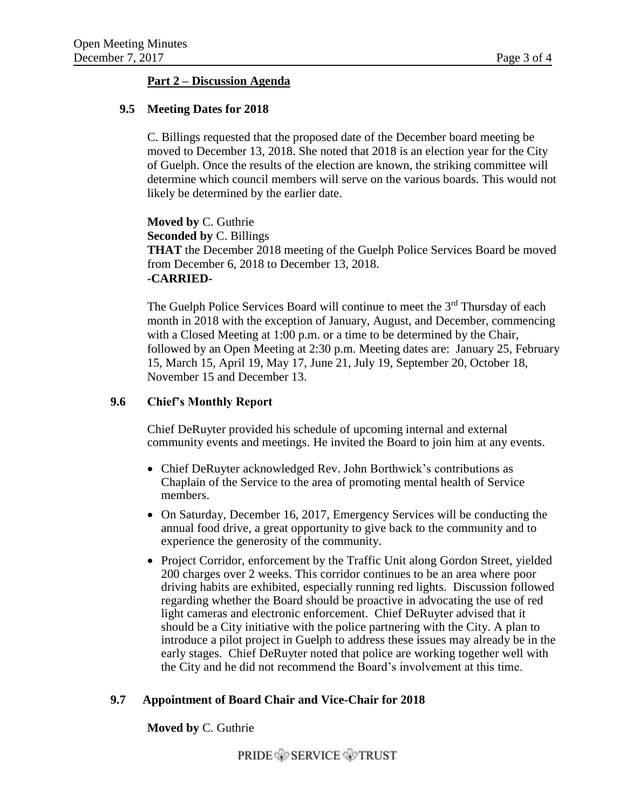## **Part 2 – Discussion Agenda**

#### **9.5 Meeting Dates for 2018**

C. Billings requested that the proposed date of the December board meeting be moved to December 13, 2018. She noted that 2018 is an election year for the City of Guelph. Once the results of the election are known, the striking committee will determine which council members will serve on the various boards. This would not likely be determined by the earlier date.

**Moved by** C. Guthrie **Seconded by** C. Billings **THAT** the December 2018 meeting of the Guelph Police Services Board be moved from December 6, 2018 to December 13, 2018. **-CARRIED-**

The Guelph Police Services Board will continue to meet the 3<sup>rd</sup> Thursday of each month in 2018 with the exception of January, August, and December, commencing with a Closed Meeting at 1:00 p.m. or a time to be determined by the Chair, followed by an Open Meeting at 2:30 p.m. Meeting dates are: January 25, February 15, March 15, April 19, May 17, June 21, July 19, September 20, October 18, November 15 and December 13.

#### **9.6 Chief's Monthly Report**

Chief DeRuyter provided his schedule of upcoming internal and external community events and meetings. He invited the Board to join him at any events.

- Chief DeRuyter acknowledged Rev. John Borthwick's contributions as Chaplain of the Service to the area of promoting mental health of Service members.
- On Saturday, December 16, 2017, Emergency Services will be conducting the annual food drive, a great opportunity to give back to the community and to experience the generosity of the community.
- Project Corridor, enforcement by the Traffic Unit along Gordon Street, yielded 200 charges over 2 weeks. This corridor continues to be an area where poor driving habits are exhibited, especially running red lights. Discussion followed regarding whether the Board should be proactive in advocating the use of red light cameras and electronic enforcement. Chief DeRuyter advised that it should be a City initiative with the police partnering with the City. A plan to introduce a pilot project in Guelph to address these issues may already be in the early stages. Chief DeRuyter noted that police are working together well with the City and he did not recommend the Board's involvement at this time.

## **9.7 Appointment of Board Chair and Vice-Chair for 2018**

#### **Moved by** C. Guthrie